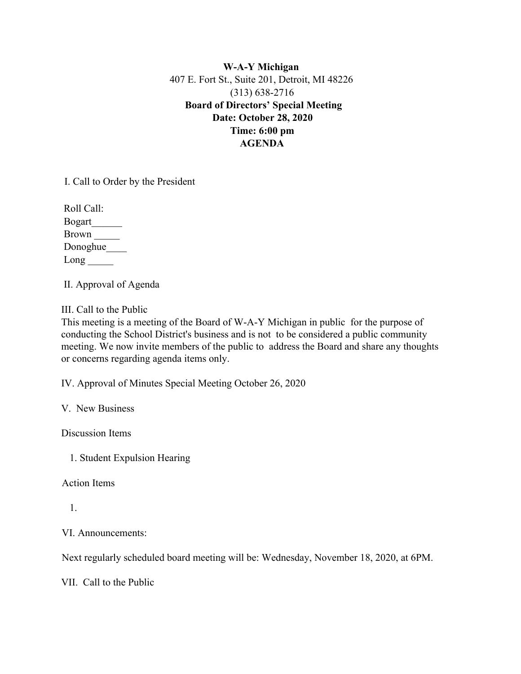**W-A-Y Michigan** 407 E. Fort St., Suite 201, Detroit, MI 48226 (313) 638-2716 **Board of Directors' Special Meeting Date: October 28, 2020 Time: 6:00 pm AGENDA**

I. Call to Order by the President

 Roll Call: Bogart\_\_\_\_\_\_ Brown \_\_\_\_\_ Donoghue\_\_\_\_\_\_\_  $Long$ <sub>\_\_\_\_\_</sub>

II. Approval of Agenda

III. Call to the Public

This meeting is a meeting of the Board of W-A-Y Michigan in public for the purpose of conducting the School District's business and is not to be considered a public community meeting. We now invite members of the public to address the Board and share any thoughts or concerns regarding agenda items only.

IV. Approval of Minutes Special Meeting October 26, 2020

V. New Business

Discussion Items

1. Student Expulsion Hearing

Action Items

1.

VI. Announcements:

Next regularly scheduled board meeting will be: Wednesday, November 18, 2020, at 6PM.

VII. Call to the Public